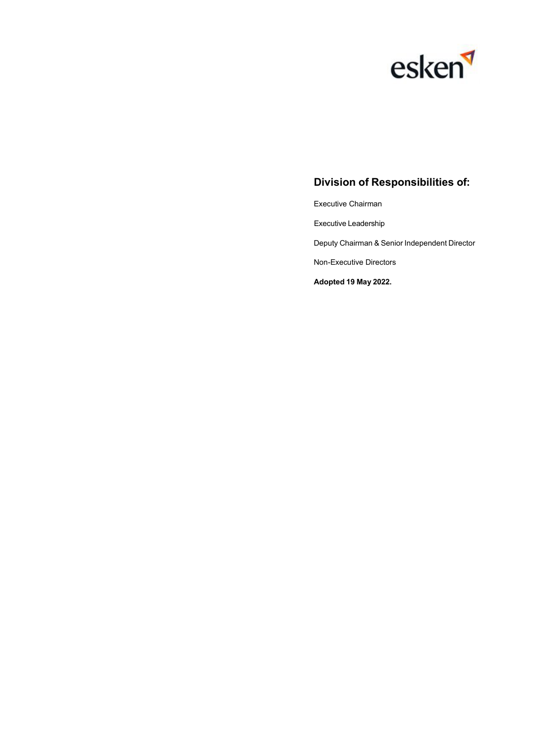

### **Division of Responsibilities of:**

Executive Chairman

Executive Leadership

Deputy Chairman & Senior Independent Director

Non-Executive Directors

**Adopted 19 May 2022.**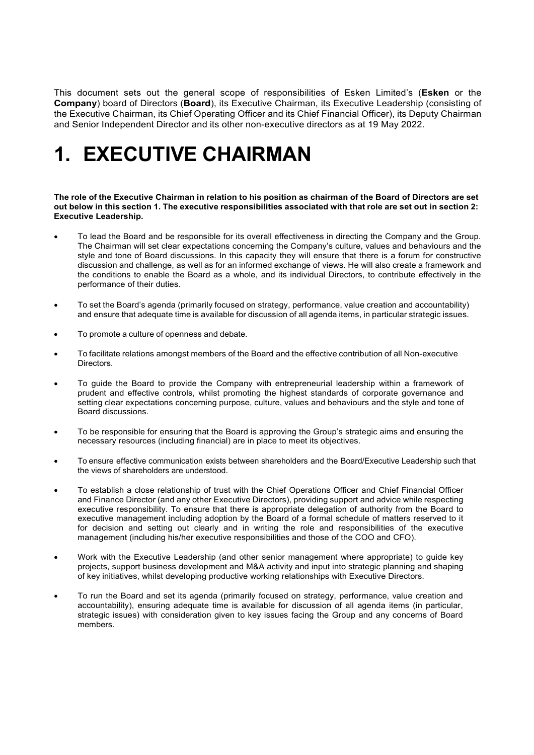This document sets out the general scope of responsibilities of Esken Limited's (**Esken** or the **Company**) board of Directors (**Board**), its Executive Chairman, its Executive Leadership (consisting of the Executive Chairman, its Chief Operating Officer and its Chief Financial Officer), its Deputy Chairman and Senior Independent Director and its other non-executive directors as at 19 May 2022.

# **1. EXECUTIVE CHAIRMAN**

The role of the Executive Chairman in relation to his position as chairman of the Board of Directors are set out below in this section 1. The executive responsibilities associated with that role are set out in section 2: **Executive Leadership.**

- To lead the Board and be responsible for its overall effectiveness in directing the Company and the Group. The Chairman will set clear expectations concerning the Company's culture, values and behaviours and the style and tone of Board discussions. In this capacity they will ensure that there is a forum for constructive discussion and challenge, as well as for an informed exchange of views. He will also create a framework and the conditions to enable the Board as a whole, and its individual Directors, to contribute effectively in the performance of their duties.
- To set the Board's agenda (primarily focused on strategy, performance, value creation and accountability) and ensure that adequate time is available for discussion of all agenda items, in particular strategic issues.
- To promote a culture of openness and debate.
- To facilitate relations amongst members of the Board and the effective contribution of all Non-executive Directors.
- To guide the Board to provide the Company with entrepreneurial leadership within a framework of prudent and effective controls, whilst promoting the highest standards of corporate governance and setting clear expectations concerning purpose, culture, values and behaviours and the style and tone of Board discussions.
- To be responsible for ensuring that the Board is approving the Group's strategic aims and ensuring the necessary resources (including financial) are in place to meet its objectives.
- To ensure effective communication exists between shareholders and the Board/Executive Leadership such that the views of shareholders are understood.
- To establish a close relationship of trust with the Chief Operations Officer and Chief Financial Officer and Finance Director (and any other Executive Directors), providing support and advice while respecting executive responsibility. To ensure that there is appropriate delegation of authority from the Board to executive management including adoption by the Board of a formal schedule of matters reserved to it for decision and setting out clearly and in writing the role and responsibilities of the executive management (including his/her executive responsibilities and those of the COO and CFO).
- Work with the Executive Leadership (and other senior management where appropriate) to guide key projects, support business development and M&A activity and input into strategic planning and shaping of key initiatives, whilst developing productive working relationships with Executive Directors.
- To run the Board and set its agenda (primarily focused on strategy, performance, value creation and accountability), ensuring adequate time is available for discussion of all agenda items (in particular, strategic issues) with consideration given to key issues facing the Group and any concerns of Board members.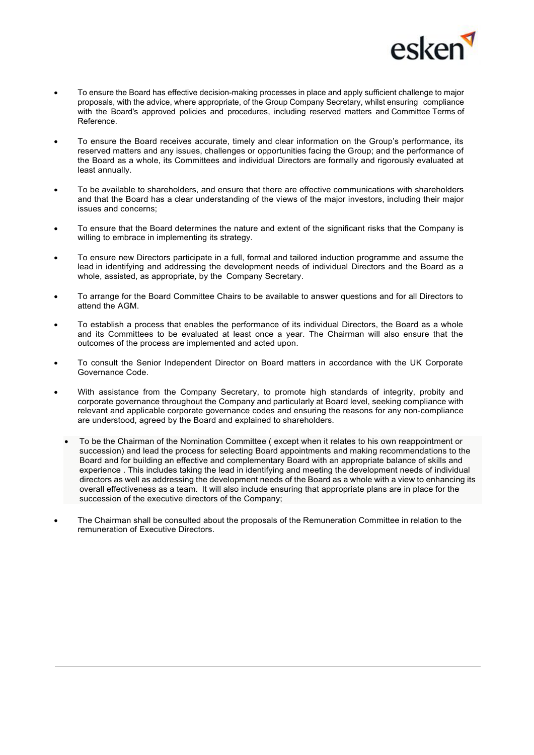

- To ensure the Board has effective decision-making processes in place and apply sufficient challenge to major proposals, with the advice, where appropriate, of the Group Company Secretary, whilst ensuring compliance with the Board's approved policies and procedures, including reserved matters and Committee Terms of Reference.
- To ensure the Board receives accurate, timely and clear information on the Group's performance, its reserved matters and any issues, challenges or opportunities facing the Group; and the performance of the Board as a whole, its Committees and individual Directors are formally and rigorously evaluated at least annually.
- To be available to shareholders, and ensure that there are effective communications with shareholders and that the Board has a clear understanding of the views of the major investors, including their major issues and concerns;
- To ensure that the Board determines the nature and extent of the significant risks that the Company is willing to embrace in implementing its strategy.
- To ensure new Directors participate in a full, formal and tailored induction programme and assume the lead in identifying and addressing the development needs of individual Directors and the Board as a whole, assisted, as appropriate, by the Company Secretary.
- To arrange for the Board Committee Chairs to be available to answer questions and for all Directors to attend the AGM.
- To establish a process that enables the performance of its individual Directors, the Board as a whole and its Committees to be evaluated at least once a year. The Chairman will also ensure that the outcomes of the process are implemented and acted upon.
- To consult the Senior Independent Director on Board matters in accordance with the UK Corporate Governance Code.
- With assistance from the Company Secretary, to promote high standards of integrity, probity and corporate governance throughout the Company and particularly at Board level, seeking compliance with relevant and applicable corporate governance codes and ensuring the reasons for any non-compliance are understood, agreed by the Board and explained to shareholders.
	- To be the Chairman of the Nomination Committee ( except when it relates to his own reappointment or succession) and lead the process for selecting Board appointments and making recommendations to the Board and for building an effective and complementary Board with an appropriate balance of skills and experience . This includes taking the lead in identifying and meeting the development needs of individual directors as well as addressing the development needs of the Board as a whole with a view to enhancing its overall effectiveness as a team. It will also include ensuring that appropriate plans are in place for the succession of the executive directors of the Company;
- The Chairman shall be consulted about the proposals of the Remuneration Committee in relation to the remuneration of Executive Directors.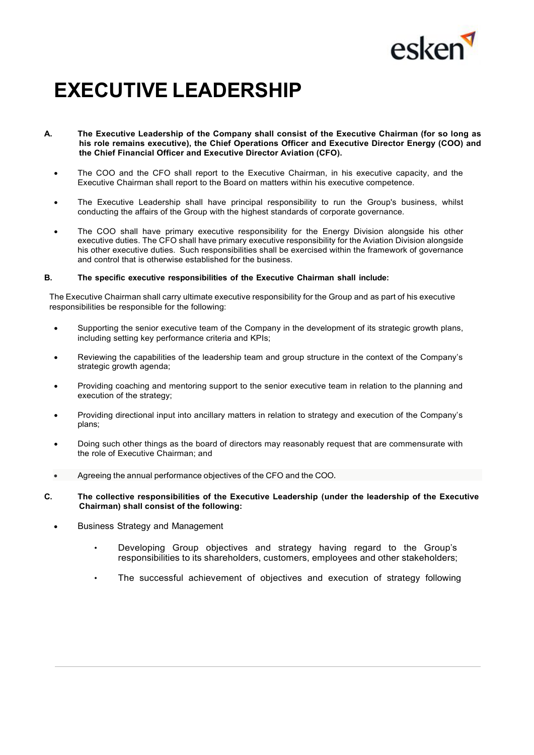

# **EXECUTIVE LEADERSHIP**

- **A. The Executive Leadership of the Company shall consist of the Executive Chairman (for so long as his role remains executive), the Chief Operations Officer and Executive Director Energy (COO) and the Chief Financial Officer and Executive Director Aviation (CFO).**
	- The COO and the CFO shall report to the Executive Chairman, in his executive capacity, and the Executive Chairman shall report to the Board on matters within his executive competence.
	- The Executive Leadership shall have principal responsibility to run the Group's business, whilst conducting the affairs of the Group with the highest standards of corporate governance.
	- The COO shall have primary executive responsibility for the Energy Division alongside his other executive duties. The CFO shall have primary executive responsibility for the Aviation Division alongside his other executive duties. Such responsibilities shall be exercised within the framework of governance and control that is otherwise established for the business.

#### **B. The specific executive responsibilities of the Executive Chairman shall include:**

The Executive Chairman shall carry ultimate executive responsibility for the Group and as part of his executive responsibilities be responsible for the following:

- Supporting the senior executive team of the Company in the development of its strategic growth plans, including setting key performance criteria and KPIs;
- Reviewing the capabilities of the leadership team and group structure in the context of the Company's strategic growth agenda;
- Providing coaching and mentoring support to the senior executive team in relation to the planning and execution of the strategy;
- Providing directional input into ancillary matters in relation to strategy and execution of the Company's plans;
- Doing such other things as the board of directors may reasonably request that are commensurate with the role of Executive Chairman; and
- Agreeing the annual performance objectives of the CFO and the COO.
- **C. The collective responsibilities of the Executive Leadership (under the leadership of the Executive Chairman) shall consist of the following:**
	- Business Strategy and Management
		- Developing Group objectives and strategy having regard to the Group's responsibilities to its shareholders, customers, employees and other stakeholders;
		- The successful achievement of objectives and execution of strategy following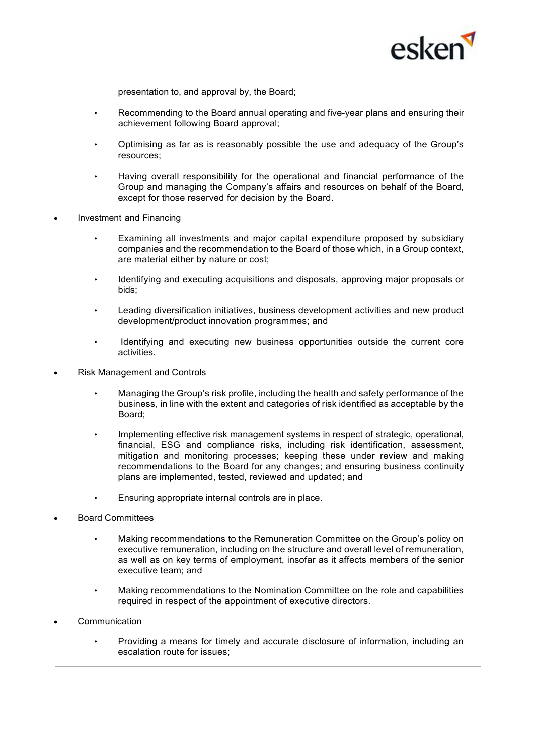

presentation to, and approval by, the Board;

- Recommending to the Board annual operating and five-year plans and ensuring their achievement following Board approval;
- Optimising as far as is reasonably possible the use and adequacy of the Group's resources;
- Having overall responsibility for the operational and financial performance of the Group and managing the Company's affairs and resources on behalf of the Board, except for those reserved for decision by the Board.
- Investment and Financing
	- Examining all investments and major capital expenditure proposed by subsidiary companies and the recommendation to the Board of those which, in a Group context, are material either by nature or cost;
	- Identifying and executing acquisitions and disposals, approving major proposals or bids;
	- Leading diversification initiatives, business development activities and new product development/product innovation programmes; and
	- Identifying and executing new business opportunities outside the current core activities.
- Risk Management and Controls
	- Managing the Group's risk profile, including the health and safety performance of the business, in line with the extent and categories of risk identified as acceptable by the Board;
	- Implementing effective risk management systems in respect of strategic, operational, financial, ESG and compliance risks, including risk identification, assessment, mitigation and monitoring processes; keeping these under review and making recommendations to the Board for any changes; and ensuring business continuity plans are implemented, tested, reviewed and updated; and
	- Ensuring appropriate internal controls are in place.
- Board Committees
	- Making recommendations to the Remuneration Committee on the Group's policy on executive remuneration, including on the structure and overall level of remuneration, as well as on key terms of employment, insofar as it affects members of the senior executive team; and
	- Making recommendations to the Nomination Committee on the role and capabilities required in respect of the appointment of executive directors.
- **Communication** 
	- Providing a means for timely and accurate disclosure of information, including an escalation route for issues;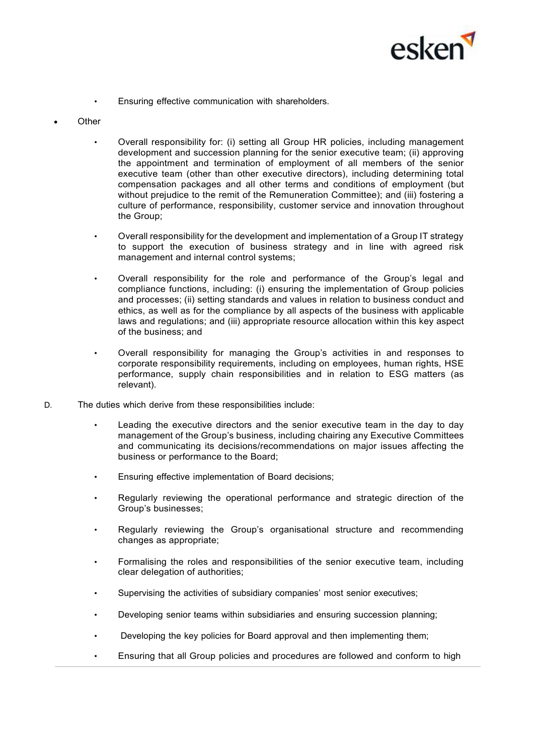

• Ensuring effective communication with shareholders.

#### **Other**

- Overall responsibility for: (i) setting all Group HR policies, including management development and succession planning for the senior executive team; (ii) approving the appointment and termination of employment of all members of the senior executive team (other than other executive directors), including determining total compensation packages and all other terms and conditions of employment (but without prejudice to the remit of the Remuneration Committee); and (iii) fostering a culture of performance, responsibility, customer service and innovation throughout the Group;
- Overall responsibility for the development and implementation of a Group IT strategy to support the execution of business strategy and in line with agreed risk management and internal control systems;
- Overall responsibility for the role and performance of the Group's legal and compliance functions, including: (i) ensuring the implementation of Group policies and processes; (ii) setting standards and values in relation to business conduct and ethics, as well as for the compliance by all aspects of the business with applicable laws and regulations; and (iii) appropriate resource allocation within this key aspect of the business; and
- Overall responsibility for managing the Group's activities in and responses to corporate responsibility requirements, including on employees, human rights, HSE performance, supply chain responsibilities and in relation to ESG matters (as relevant).
- D. The duties which derive from these responsibilities include:
	- Leading the executive directors and the senior executive team in the day to day management of the Group's business, including chairing any Executive Committees and communicating its decisions/recommendations on major issues affecting the business or performance to the Board;
	- Ensuring effective implementation of Board decisions;
	- Regularly reviewing the operational performance and strategic direction of the Group's businesses;
	- Regularly reviewing the Group's organisational structure and recommending changes as appropriate;
	- Formalising the roles and responsibilities of the senior executive team, including clear delegation of authorities;
	- Supervising the activities of subsidiary companies' most senior executives;
	- Developing senior teams within subsidiaries and ensuring succession planning;
	- Developing the key policies for Board approval and then implementing them;
	- Ensuring that all Group policies and procedures are followed and conform to high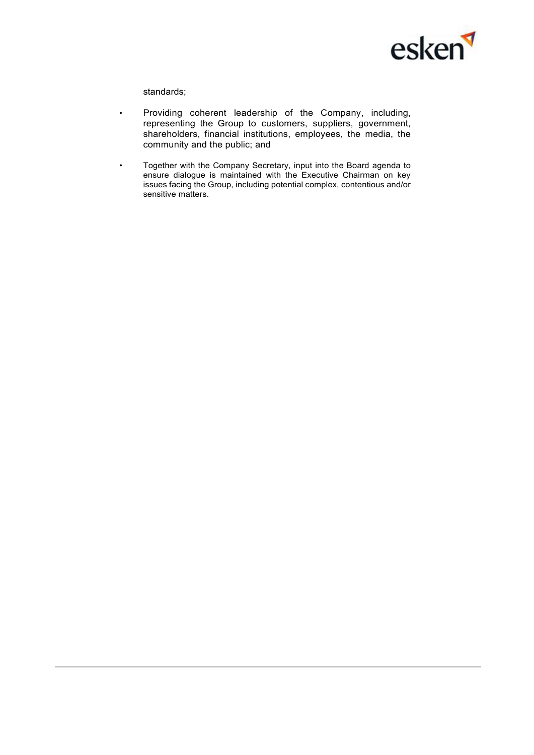

standards;

- Providing coherent leadership of the Company, including, representing the Group to customers, suppliers, government, shareholders, financial institutions, employees, the media, the community and the public; and
- Together with the Company Secretary, input into the Board agenda to ensure dialogue is maintained with the Executive Chairman on key issues facing the Group, including potential complex, contentious and/or sensitive matters.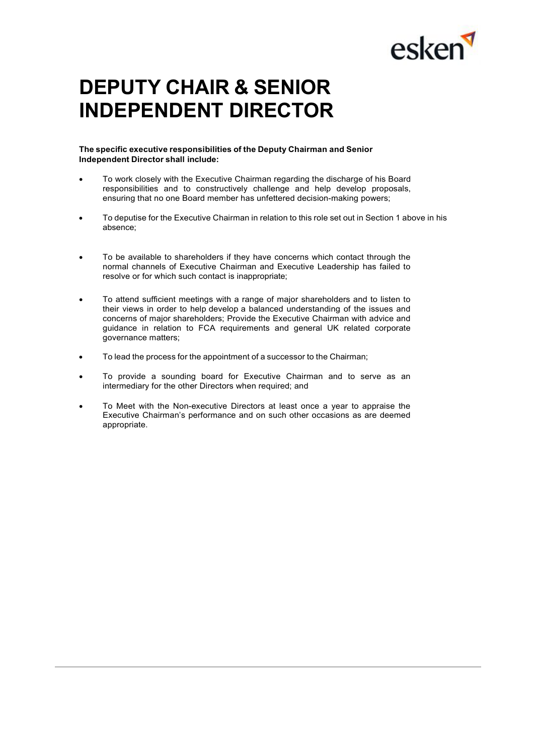

## **DEPUTY CHAIR & SENIOR INDEPENDENT DIRECTOR**

**The specific executive responsibilities of the Deputy Chairman and Senior Independent Director shall include:**

- To work closely with the Executive Chairman regarding the discharge of his Board responsibilities and to constructively challenge and help develop proposals, ensuring that no one Board member has unfettered decision-making powers;
- To deputise for the Executive Chairman in relation to this role set out in Section 1 above in his absence;
- To be available to shareholders if they have concerns which contact through the normal channels of Executive Chairman and Executive Leadership has failed to resolve or for which such contact is inappropriate;
- To attend sufficient meetings with a range of major shareholders and to listen to their views in order to help develop a balanced understanding of the issues and concerns of major shareholders; Provide the Executive Chairman with advice and guidance in relation to FCA requirements and general UK related corporate governance matters;
- To lead the process for the appointment of a successor to the Chairman;
- To provide a sounding board for Executive Chairman and to serve as an intermediary for the other Directors when required; and
- To Meet with the Non-executive Directors at least once a year to appraise the Executive Chairman's performance and on such other occasions as are deemed appropriate.